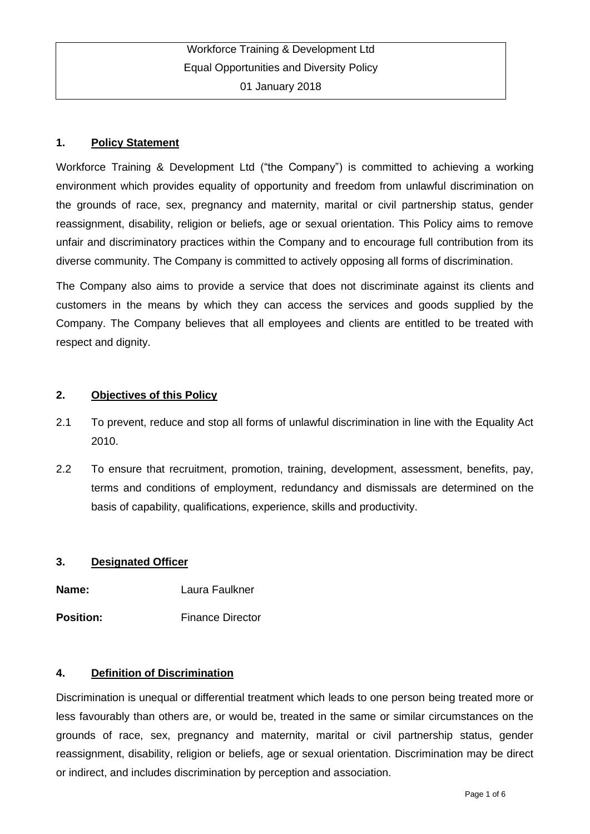## **1. Policy Statement**

Workforce Training & Development Ltd ("the Company") is committed to achieving a working environment which provides equality of opportunity and freedom from unlawful discrimination on the grounds of race, sex, pregnancy and maternity, marital or civil partnership status, gender reassignment, disability, religion or beliefs, age or sexual orientation. This Policy aims to remove unfair and discriminatory practices within the Company and to encourage full contribution from its diverse community. The Company is committed to actively opposing all forms of discrimination.

The Company also aims to provide a service that does not discriminate against its clients and customers in the means by which they can access the services and goods supplied by the Company. The Company believes that all employees and clients are entitled to be treated with respect and dignity.

### **2. Objectives of this Policy**

- 2.1 To prevent, reduce and stop all forms of unlawful discrimination in line with the Equality Act 2010.
- 2.2 To ensure that recruitment, promotion, training, development, assessment, benefits, pay, terms and conditions of employment, redundancy and dismissals are determined on the basis of capability, qualifications, experience, skills and productivity.

### **3. Designated Officer**

**Name:** Laura Faulkner

**Position:** Finance Director

### **4. Definition of Discrimination**

Discrimination is unequal or differential treatment which leads to one person being treated more or less favourably than others are, or would be, treated in the same or similar circumstances on the grounds of race, sex, pregnancy and maternity, marital or civil partnership status, gender reassignment, disability, religion or beliefs, age or sexual orientation. Discrimination may be direct or indirect, and includes discrimination by perception and association.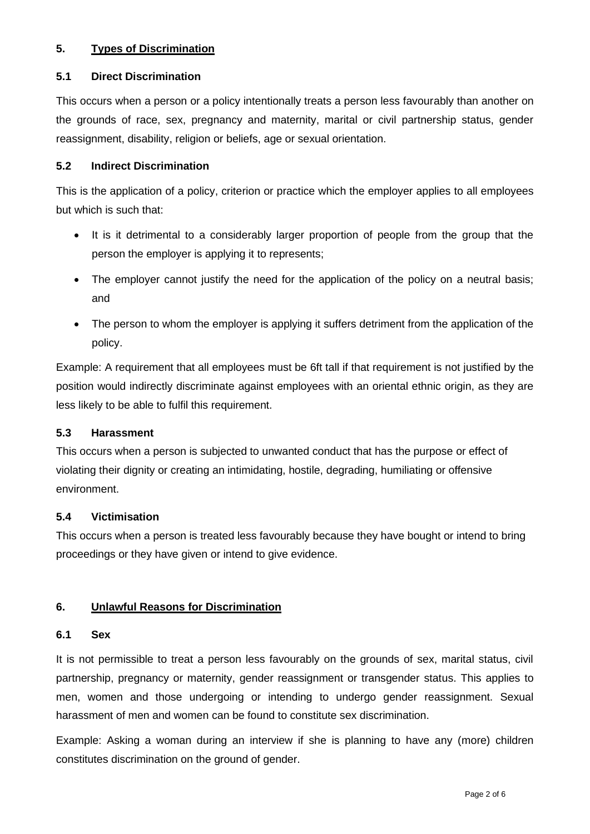## **5. Types of Discrimination**

### **5.1 Direct Discrimination**

This occurs when a person or a policy intentionally treats a person less favourably than another on the grounds of race, sex, pregnancy and maternity, marital or civil partnership status, gender reassignment, disability, religion or beliefs, age or sexual orientation.

## **5.2 Indirect Discrimination**

This is the application of a policy, criterion or practice which the employer applies to all employees but which is such that:

- It is it detrimental to a considerably larger proportion of people from the group that the person the employer is applying it to represents;
- The employer cannot justify the need for the application of the policy on a neutral basis; and
- The person to whom the employer is applying it suffers detriment from the application of the policy.

Example: A requirement that all employees must be 6ft tall if that requirement is not justified by the position would indirectly discriminate against employees with an oriental ethnic origin, as they are less likely to be able to fulfil this requirement.

### **5.3 Harassment**

This occurs when a person is subjected to unwanted conduct that has the purpose or effect of violating their dignity or creating an intimidating, hostile, degrading, humiliating or offensive environment.

### **5.4 Victimisation**

This occurs when a person is treated less favourably because they have bought or intend to bring proceedings or they have given or intend to give evidence.

# **6. Unlawful Reasons for Discrimination**

### **6.1 Sex**

It is not permissible to treat a person less favourably on the grounds of sex, marital status, civil partnership, pregnancy or maternity, gender reassignment or transgender status. This applies to men, women and those undergoing or intending to undergo gender reassignment. Sexual harassment of men and women can be found to constitute sex discrimination.

Example: Asking a woman during an interview if she is planning to have any (more) children constitutes discrimination on the ground of gender.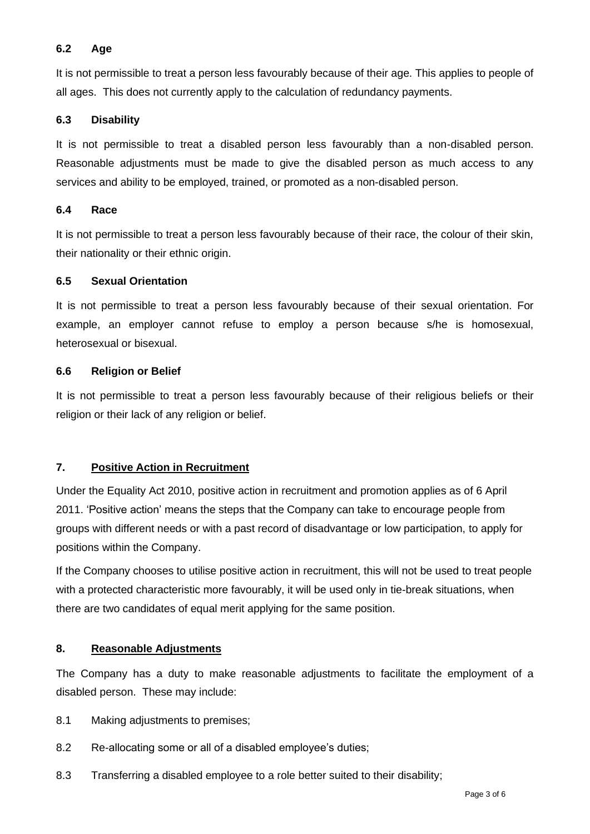## **6.2 Age**

It is not permissible to treat a person less favourably because of their age. This applies to people of all ages. This does not currently apply to the calculation of redundancy payments.

## **6.3 Disability**

It is not permissible to treat a disabled person less favourably than a non-disabled person. Reasonable adjustments must be made to give the disabled person as much access to any services and ability to be employed, trained, or promoted as a non-disabled person.

### **6.4 Race**

It is not permissible to treat a person less favourably because of their race, the colour of their skin, their nationality or their ethnic origin.

## **6.5 Sexual Orientation**

It is not permissible to treat a person less favourably because of their sexual orientation. For example, an employer cannot refuse to employ a person because s/he is homosexual, heterosexual or bisexual.

### **6.6 Religion or Belief**

It is not permissible to treat a person less favourably because of their religious beliefs or their religion or their lack of any religion or belief.

# **7. Positive Action in Recruitment**

Under the Equality Act 2010, positive action in recruitment and promotion applies as of 6 April 2011. 'Positive action' means the steps that the Company can take to encourage people from groups with different needs or with a past record of disadvantage or low participation, to apply for positions within the Company.

If the Company chooses to utilise positive action in recruitment, this will not be used to treat people with a protected characteristic more favourably, it will be used only in tie-break situations, when there are two candidates of equal merit applying for the same position.

# **8. Reasonable Adjustments**

The Company has a duty to make reasonable adjustments to facilitate the employment of a disabled person. These may include:

- 8.1 Making adjustments to premises;
- 8.2 Re-allocating some or all of a disabled employee's duties;
- 8.3 Transferring a disabled employee to a role better suited to their disability;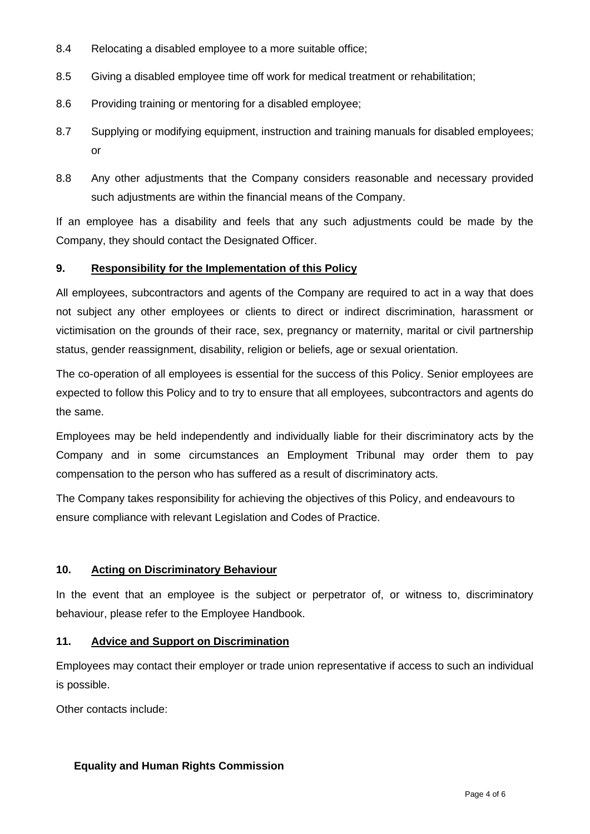- 8.4 Relocating a disabled employee to a more suitable office;
- 8.5 Giving a disabled employee time off work for medical treatment or rehabilitation;
- 8.6 Providing training or mentoring for a disabled employee;
- 8.7 Supplying or modifying equipment, instruction and training manuals for disabled employees; or
- 8.8 Any other adjustments that the Company considers reasonable and necessary provided such adjustments are within the financial means of the Company.

If an employee has a disability and feels that any such adjustments could be made by the Company, they should contact the Designated Officer.

### **9. Responsibility for the Implementation of this Policy**

All employees, subcontractors and agents of the Company are required to act in a way that does not subject any other employees or clients to direct or indirect discrimination, harassment or victimisation on the grounds of their race, sex, pregnancy or maternity, marital or civil partnership status, gender reassignment, disability, religion or beliefs, age or sexual orientation.

The co-operation of all employees is essential for the success of this Policy. Senior employees are expected to follow this Policy and to try to ensure that all employees, subcontractors and agents do the same.

Employees may be held independently and individually liable for their discriminatory acts by the Company and in some circumstances an Employment Tribunal may order them to pay compensation to the person who has suffered as a result of discriminatory acts.

The Company takes responsibility for achieving the objectives of this Policy, and endeavours to ensure compliance with relevant Legislation and Codes of Practice.

### **10. Acting on Discriminatory Behaviour**

In the event that an employee is the subject or perpetrator of, or witness to, discriminatory behaviour, please refer to the Employee Handbook.

### **11. Advice and Support on Discrimination**

Employees may contact their employer or trade union representative if access to such an individual is possible.

Other contacts include:

### **Equality and Human Rights Commission**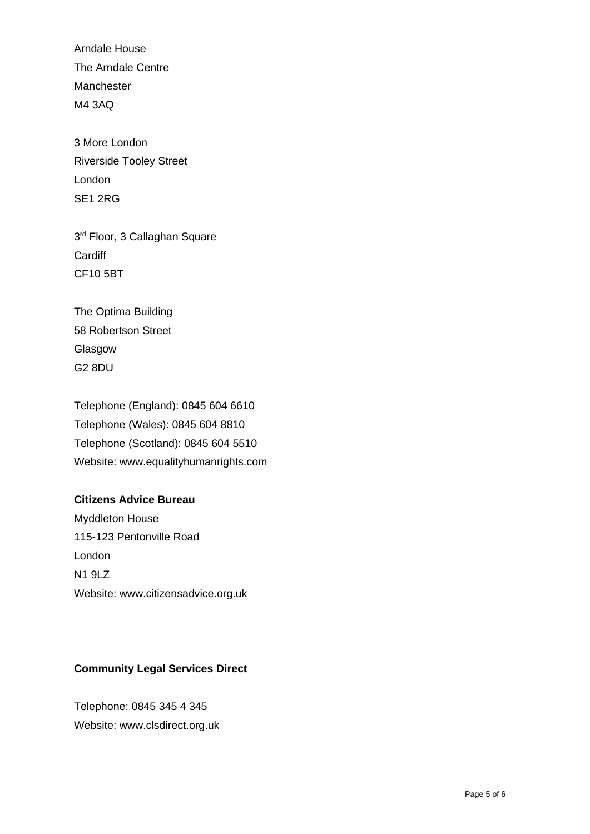Arndale House The Arndale Centre Manchester M4 3AQ

3 More London Riverside Tooley Street London SE1 2RG

3 rd Floor, 3 Callaghan Square **Cardiff** CF10 5BT

The Optima Building 58 Robertson Street Glasgow G2 8DU

Telephone (England): 0845 604 6610 Telephone (Wales): 0845 604 8810 Telephone (Scotland): 0845 604 5510 Website: www.equalityhumanrights.com

# **Citizens Advice Bureau**

Myddleton House 115-123 Pentonville Road London N1 9LZ Website: www.citizensadvice.org.uk

### **Community Legal Services Direct**

Telephone: 0845 345 4 345 Website: www.clsdirect.org.uk